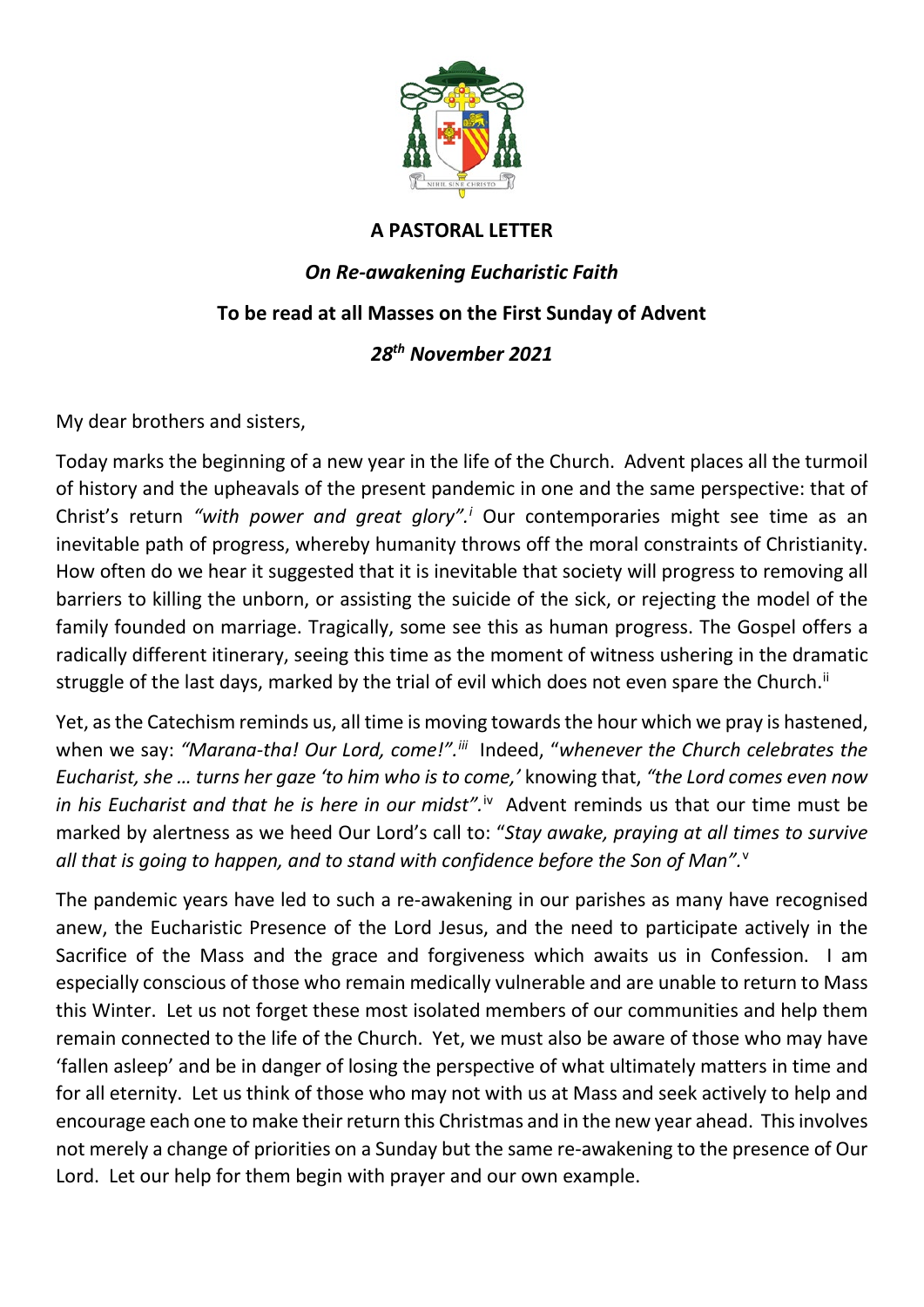

## **A PASTORAL LETTER**

## *On Re-awakening Eucharistic Faith* **To be read at all Masses on the First Sunday of Advent** *28th November 2021*

My dear brothers and sisters,

Today marks the beginning of a new year in the life of the Church. Advent places all the turmoil of history and the upheavals of the present pandemic in one and the same perspective: that of Christ's return *"with power and great glory". [i](#page-1-0)* Our contemporaries might see time as an inevitable path of progress, whereby humanity throws off the moral constraints of Christianity. How often do we hear it suggested that it is inevitable that society will progress to removing all barriers to killing the unborn, or assisting the suicide of the sick, or rejecting the model of the family founded on marriage. Tragically, some see this as human progress. The Gospel offers a radically different itinerary, seeing this time as the moment of witness ushering in the dramatic struggle of the last days, marked by the trial of evil which does not even spare the Church.<sup>[ii](#page-1-1)</sup>

Yet, as the Catechism reminds us, all time is moving towards the hour which we pray is hastened, when we say: "Marana-tha! Our Lord, come!".<sup>iii</sup> Indeed, "whenever the Church celebrates the *Eucharist, she … turns her gaze 'to him who is to come,'* knowing that, *"the Lord comes even now*  in his Eucharist and that he is here in our midst".<sup>[iv](#page-1-3)</sup> Advent reminds us that our time must be marked by alertness as we heed Our Lord's call to: "*Stay awake, praying at all times to survive*  all that is going to happen, and to stand with confidence before the Son of Man".<sup>[v](#page-1-4)</sup>

The pandemic years have led to such a re-awakening in our parishes as many have recognised anew, the Eucharistic Presence of the Lord Jesus, and the need to participate actively in the Sacrifice of the Mass and the grace and forgiveness which awaits us in Confession. I am especially conscious of those who remain medically vulnerable and are unable to return to Mass this Winter. Let us not forget these most isolated members of our communities and help them remain connected to the life of the Church. Yet, we must also be aware of those who may have 'fallen asleep' and be in danger of losing the perspective of what ultimately matters in time and for all eternity. Let us think of those who may not with us at Mass and seek actively to help and encourage each one to make their return this Christmas and in the new year ahead. This involves not merely a change of priorities on a Sunday but the same re-awakening to the presence of Our Lord. Let our help for them begin with prayer and our own example.